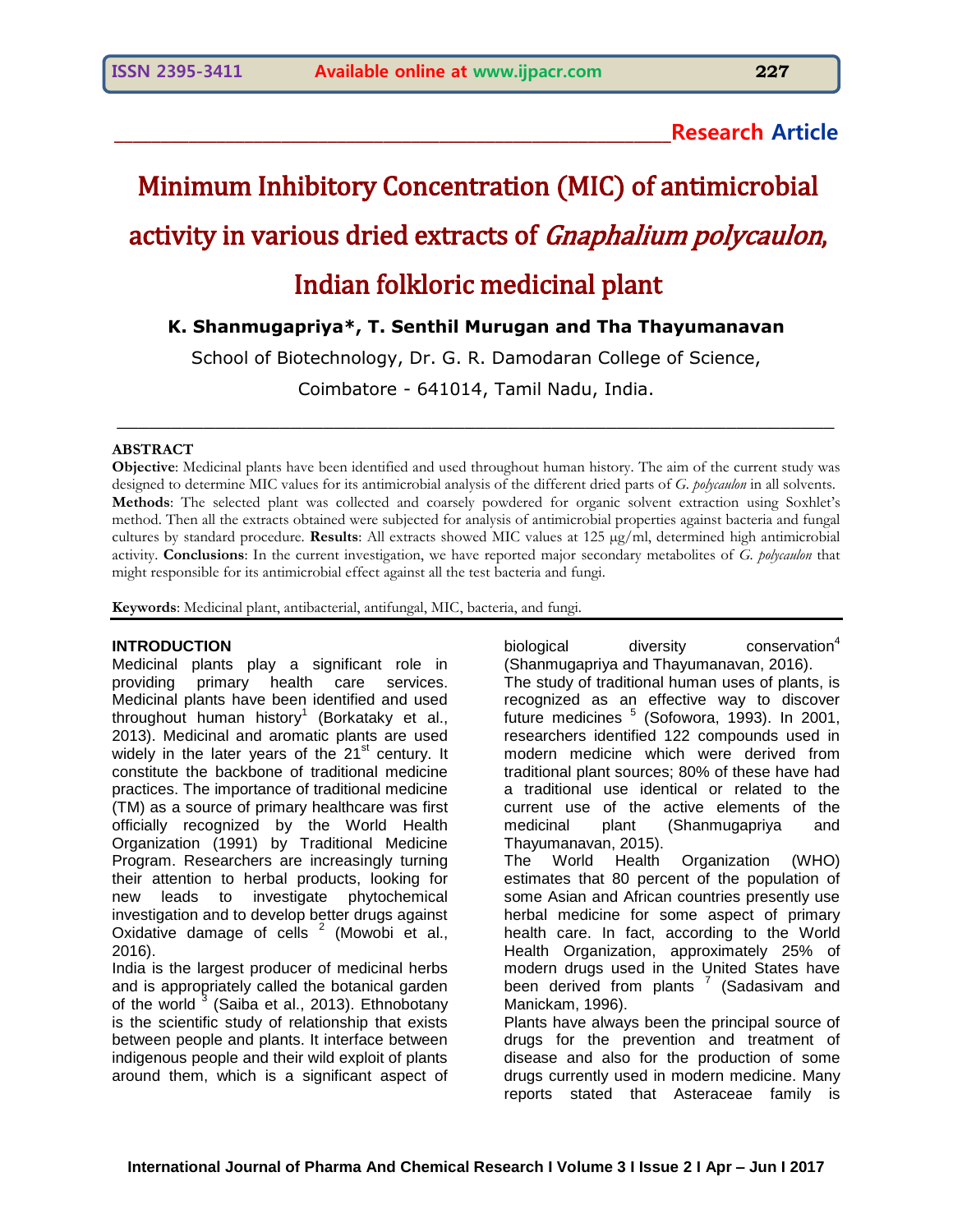**\_\_\_\_\_\_\_\_\_\_\_\_\_\_\_\_\_\_\_\_\_\_\_\_\_\_\_\_\_\_\_\_\_\_\_\_\_\_\_\_\_\_\_\_\_\_\_\_\_\_\_\_\_\_\_\_\_\_\_\_Research Article**

# Minimum Inhibitory Concentration (MIC) of antimicrobial activity in various dried extracts of Gnaphalium polycaulon, Indian folkloric medicinal plant

# **K. Shanmugapriya\*, T. Senthil Murugan and Tha Thayumanavan**

School of Biotechnology, Dr. G. R. Damodaran College of Science,

Coimbatore - 641014, Tamil Nadu, India.

 $\_$  , and the set of the set of the set of the set of the set of the set of the set of the set of the set of the set of the set of the set of the set of the set of the set of the set of the set of the set of the set of th

#### **ABSTRACT**

**Objective**: Medicinal plants have been identified and used throughout human history. The aim of the current study was designed to determine MIC values for its antimicrobial analysis of the different dried parts of *G. polycaulon* in all solvents. **Methods**: The selected plant was collected and coarsely powdered for organic solvent extraction using Soxhlet's method. Then all the extracts obtained were subjected for analysis of antimicrobial properties against bacteria and fungal cultures by standard procedure. **Results**: All extracts showed MIC values at 125 µg/ml, determined high antimicrobial activity. **Conclusions**: In the current investigation, we have reported major secondary metabolites of *G. polycaulon* that might responsible for its antimicrobial effect against all the test bacteria and fungi.

**Keywords**: Medicinal plant, antibacterial, antifungal, MIC, bacteria, and fungi.

#### **INTRODUCTION**

Medicinal plants play a significant role in providing primary health care services. Medicinal plants have been identified and used throughout human history<sup>1</sup> (Borkataky et al., 2013). Medicinal and aromatic plants are used widely in the later years of the  $21<sup>st</sup>$  century. It constitute the backbone of traditional medicine practices. The importance of traditional medicine (TM) as a source of primary healthcare was first officially recognized by the World Health Organization (1991) by Traditional Medicine Program. Researchers are increasingly turning their attention to herbal products, looking for new leads to investigate phytochemical investigation and to develop better drugs against Oxidative damage of cells  $2$  (Mowobi et al., 2016).

India is the largest producer of medicinal herbs and is appropriately called the botanical garden of the world<sup>3</sup> (Saiba et al., 2013). Ethnobotany is the scientific study of relationship that exists between people and plants. It interface between indigenous people and their wild exploit of plants around them, which is a significant aspect of

biological diversity conservation<sup>4</sup> (Shanmugapriya and Thayumanavan, 2016). The study of traditional human uses of plants, is recognized as an effective way to discover future medicines <sup>5</sup> (Sofowora, 1993). In 2001, researchers identified 122 compounds used in modern medicine which were derived from traditional plant sources; 80% of these have had a traditional use identical or related to the current use of the active elements of the medicinal plant (Shanmugapriya and Thayumanavan, 2015). The World Health Organization (WHO) estimates that 80 percent of the population of some Asian and African countries presently use herbal medicine for some aspect of primary health care. In fact, according to the World Health Organization, approximately 25% of modern drugs used in the United States have been derived from plants  $<sup>7</sup>$  (Sadasivam and</sup> Manickam, 1996). Plants have always been the principal source of drugs for the prevention and treatment of disease and also for the production of some drugs currently used in modern medicine. Many reports stated that Asteraceae family is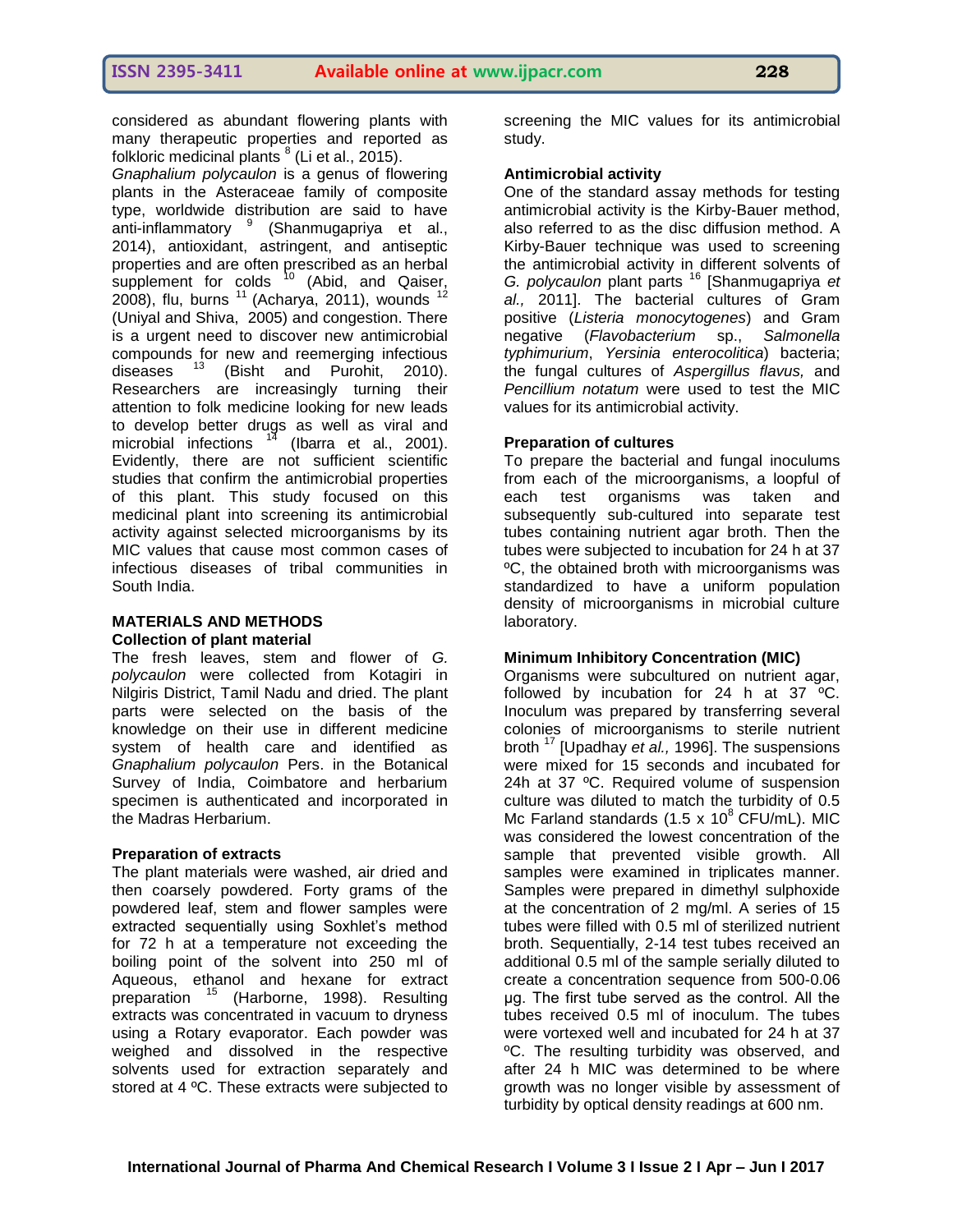considered as abundant flowering plants with many therapeutic properties and reported as folkloric medicinal plants  $8$  (Li et al., 2015).

*Gnaphalium polycaulon* is a genus of flowering plants in the Asteraceae family of composite type, worldwide distribution are said to have anti-inflammatory <sup>9</sup> (Shanmugapriya et al., 2014), antioxidant, astringent, and antiseptic properties and are often prescribed as an herbal supplement for colds  $10$  (Abid, and Qaiser, 2008), flu, burns  $11$  (Acharya, 2011), wounds  $12$ (Uniyal and Shiva, 2005) and congestion. There is a urgent need to discover new antimicrobial compounds for new and reemerging infectious diseases  $13$  (Bisht and Purohit, 2010). Researchers are increasingly turning their attention to folk medicine looking for new leads to develop better drugs as well as viral and microbial infections  $14$  (Ibarra et al., 2001). Evidently, there are not sufficient scientific studies that confirm the antimicrobial properties of this plant. This study focused on this medicinal plant into screening its antimicrobial activity against selected microorganisms by its MIC values that cause most common cases of infectious diseases of tribal communities in South India.

#### **MATERIALS AND METHODS Collection of plant material**

The fresh leaves, stem and flower of *G. polycaulon* were collected from Kotagiri in Nilgiris District, Tamil Nadu and dried. The plant parts were selected on the basis of the knowledge on their use in different medicine system of health care and identified as *Gnaphalium polycaulon* Pers. in the Botanical Survey of India, Coimbatore and herbarium specimen is authenticated and incorporated in the Madras Herbarium.

#### **Preparation of extracts**

The plant materials were washed, air dried and then coarsely powdered. Forty grams of the powdered leaf, stem and flower samples were extracted sequentially using Soxhlet's method for 72 h at a temperature not exceeding the boiling point of the solvent into 250 ml of Aqueous, ethanol and hexane for extract preparation <sup>15</sup> (Harborne, 1998). Resulting extracts was concentrated in vacuum to dryness using a Rotary evaporator. Each powder was weighed and dissolved in the respective solvents used for extraction separately and stored at 4 ºC. These extracts were subjected to

screening the MIC values for its antimicrobial study.

#### **Antimicrobial activity**

One of the standard assay methods for testing antimicrobial activity is the Kirby-Bauer method, also referred to as the disc diffusion method. A Kirby-Bauer technique was used to screening the antimicrobial activity in different solvents of *G. polycaulon* plant parts <sup>16</sup> [Shanmugapriya *et al.,* 2011]. The bacterial cultures of Gram positive (*Listeria monocytogenes*) and Gram negative (*Flavobacterium* sp., *Salmonella typhimurium*, *Yersinia enterocolitica*) bacteria; the fungal cultures of *Aspergillus flavus,* and *Pencillium notatum* were used to test the MIC values for its antimicrobial activity.

#### **Preparation of cultures**

To prepare the bacterial and fungal inoculums from each of the microorganisms, a loopful of each test organisms was taken and subsequently sub-cultured into separate test tubes containing nutrient agar broth. Then the tubes were subjected to incubation for 24 h at 37 ºC, the obtained broth with microorganisms was standardized to have a uniform population density of microorganisms in microbial culture laboratory.

#### **Minimum Inhibitory Concentration (MIC)**

Organisms were subcultured on nutrient agar, followed by incubation for 24 h at 37 ºC. Inoculum was prepared by transferring several colonies of microorganisms to sterile nutrient broth <sup>17</sup> [Upadhay *et al.,* 1996]. The suspensions were mixed for 15 seconds and incubated for 24h at 37 °C. Required volume of suspension culture was diluted to match the turbidity of 0.5 Mc Farland standards  $(1.5 \times 10^8 \text{ CFU/mL})$ . MIC was considered the lowest concentration of the sample that prevented visible growth. All samples were examined in triplicates manner. Samples were prepared in dimethyl sulphoxide at the concentration of 2 mg/ml. A series of 15 tubes were filled with 0.5 ml of sterilized nutrient broth. Sequentially, 2-14 test tubes received an additional 0.5 ml of the sample serially diluted to create a concentration sequence from 500-0.06 μg. The first tube served as the control. All the tubes received 0.5 ml of inoculum. The tubes were vortexed well and incubated for 24 h at 37 ºC. The resulting turbidity was observed, and after 24 h MIC was determined to be where growth was no longer visible by assessment of turbidity by optical density readings at 600 nm.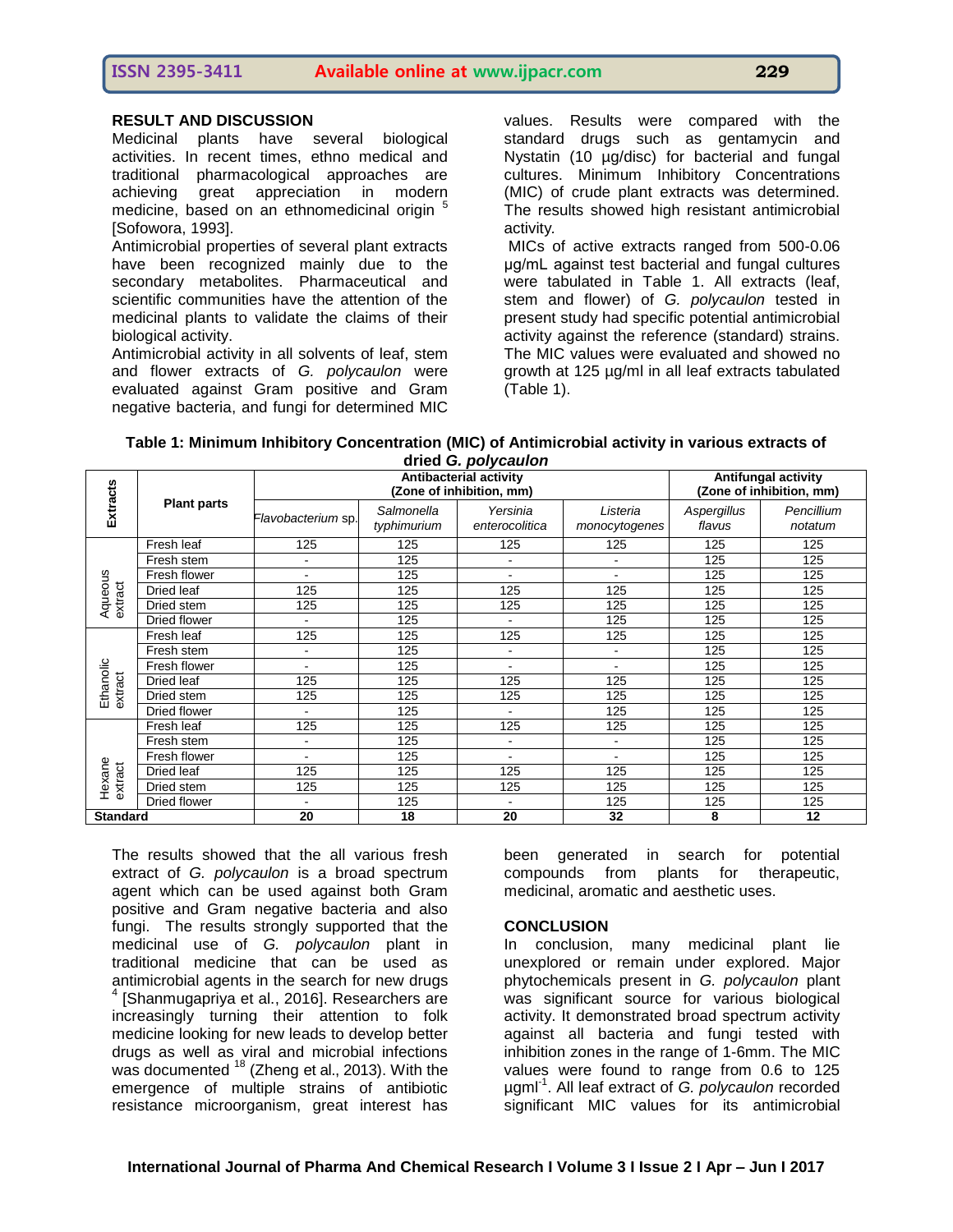# **ISSN 2395-3411 Available online at www.ijpacr.com 229**

## **RESULT AND DISCUSSION**

Medicinal plants have several biological activities. In recent times, ethno medical and traditional pharmacological approaches are achieving great appreciation in modern medicine, based on an ethnomedicinal origin <sup>5</sup> [Sofowora, 1993].

Antimicrobial properties of several plant extracts have been recognized mainly due to the secondary metabolites. Pharmaceutical and scientific communities have the attention of the medicinal plants to validate the claims of their biological activity.

Antimicrobial activity in all solvents of leaf, stem and flower extracts of *G. polycaulon* were evaluated against Gram positive and Gram negative bacteria, and fungi for determined MIC

values. Results were compared with the standard drugs such as gentamycin and Nystatin (10 µg/disc) for bacterial and fungal cultures. Minimum Inhibitory Concentrations (MIC) of crude plant extracts was determined. The results showed high resistant antimicrobial activity*.*

MICs of active extracts ranged from 500-0.06 μg/mL against test bacterial and fungal cultures were tabulated in Table 1. All extracts (leaf, stem and flower) of *G. polycaulon* tested in present study had specific potential antimicrobial activity against the reference (standard) strains. The MIC values were evaluated and showed no growth at 125 µg/ml in all leaf extracts tabulated (Table 1).

| Table 1: Minimum Inhibitory Concentration (MIC) of Antimicrobial activity in various extracts of |  |  |  |  |  |  |
|--------------------------------------------------------------------------------------------------|--|--|--|--|--|--|
| dried G. polycaulon                                                                              |  |  |  |  |  |  |

|                      | <b>Plant parts</b> | unuu u, purruunun<br><b>Antibacterial activity</b><br>(Zone of inhibition, mm) |                           |                            | <b>Antifungal activity</b><br>(Zone of inhibition, mm) |                       |                       |
|----------------------|--------------------|--------------------------------------------------------------------------------|---------------------------|----------------------------|--------------------------------------------------------|-----------------------|-----------------------|
| <b>Extracts</b>      |                    | Flavobacterium sp.                                                             | Salmonella<br>typhimurium | Yersinia<br>enterocolitica | Listeria<br>monocytogenes                              | Aspergillus<br>flavus | Pencillium<br>notatum |
| Aqueous<br>extract   | Fresh leaf         | 125                                                                            | 125                       | 125                        | 125                                                    | 125                   | 125                   |
|                      | Fresh stem         |                                                                                | 125                       |                            |                                                        | 125                   | 125                   |
|                      | Fresh flower       |                                                                                | 125                       |                            |                                                        | 125                   | 125                   |
|                      | Dried leaf         | 125                                                                            | 125                       | 125                        | 125                                                    | 125                   | 125                   |
|                      | Dried stem         | 125                                                                            | 125                       | 125                        | 125                                                    | 125                   | 125                   |
|                      | Dried flower       | $\blacksquare$                                                                 | 125                       | $\blacksquare$             | 125                                                    | 125                   | 125                   |
| Ethanolic<br>extract | Fresh leaf         | 125                                                                            | 125                       | 125                        | 125                                                    | 125                   | 125                   |
|                      | Fresh stem         |                                                                                | 125                       | ۰                          |                                                        | 125                   | 125                   |
|                      | Fresh flower       |                                                                                | 125                       |                            |                                                        | 125                   | 125                   |
|                      | Dried leaf         | 125                                                                            | 125                       | 125                        | 125                                                    | 125                   | 125                   |
|                      | Dried stem         | 125                                                                            | 125                       | 125                        | 125                                                    | 125                   | 125                   |
|                      | Dried flower       |                                                                                | 125                       |                            | 125                                                    | 125                   | 125                   |
| Hexane<br>extract    | Fresh leaf         | 125                                                                            | 125                       | 125                        | 125                                                    | 125                   | 125                   |
|                      | Fresh stem         | ٠                                                                              | 125                       | $\blacksquare$             | $\blacksquare$                                         | 125                   | 125                   |
|                      | Fresh flower       | $\blacksquare$                                                                 | 125                       | $\blacksquare$             | ۰                                                      | 125                   | 125                   |
|                      | Dried leaf         | 125                                                                            | 125                       | 125                        | 125                                                    | 125                   | 125                   |
|                      | Dried stem         | 125                                                                            | 125                       | 125                        | 125                                                    | 125                   | 125                   |
|                      | Dried flower       |                                                                                | 125                       | $\blacksquare$             | 125                                                    | 125                   | 125                   |
| <b>Standard</b>      |                    | 20                                                                             | 18                        | 20                         | 32                                                     | 8                     | 12                    |

The results showed that the all various fresh extract of *G. polycaulon* is a broad spectrum agent which can be used against both Gram positive and Gram negative bacteria and also fungi. The results strongly supported that the medicinal use of *G. polycaulon* plant in traditional medicine that can be used as antimicrobial agents in the search for new drugs 4 [Shanmugapriya et al., 2016]. Researchers are increasingly turning their attention to folk medicine looking for new leads to develop better drugs as well as viral and microbial infections was documented <sup>18</sup> (Zheng et al., 2013). With the emergence of multiple strains of antibiotic resistance microorganism, great interest has

been generated in search for potential compounds from plants for therapeutic, medicinal, aromatic and aesthetic uses.

#### **CONCLUSION**

In conclusion, many medicinal plant lie unexplored or remain under explored. Major phytochemicals present in *G. polycaulon* plant was significant source for various biological activity. It demonstrated broad spectrum activity against all bacteria and fungi tested with inhibition zones in the range of 1-6mm. The MIC values were found to range from 0.6 to 125 µgml-1 . All leaf extract of *G. polycaulon* recorded significant MIC values for its antimicrobial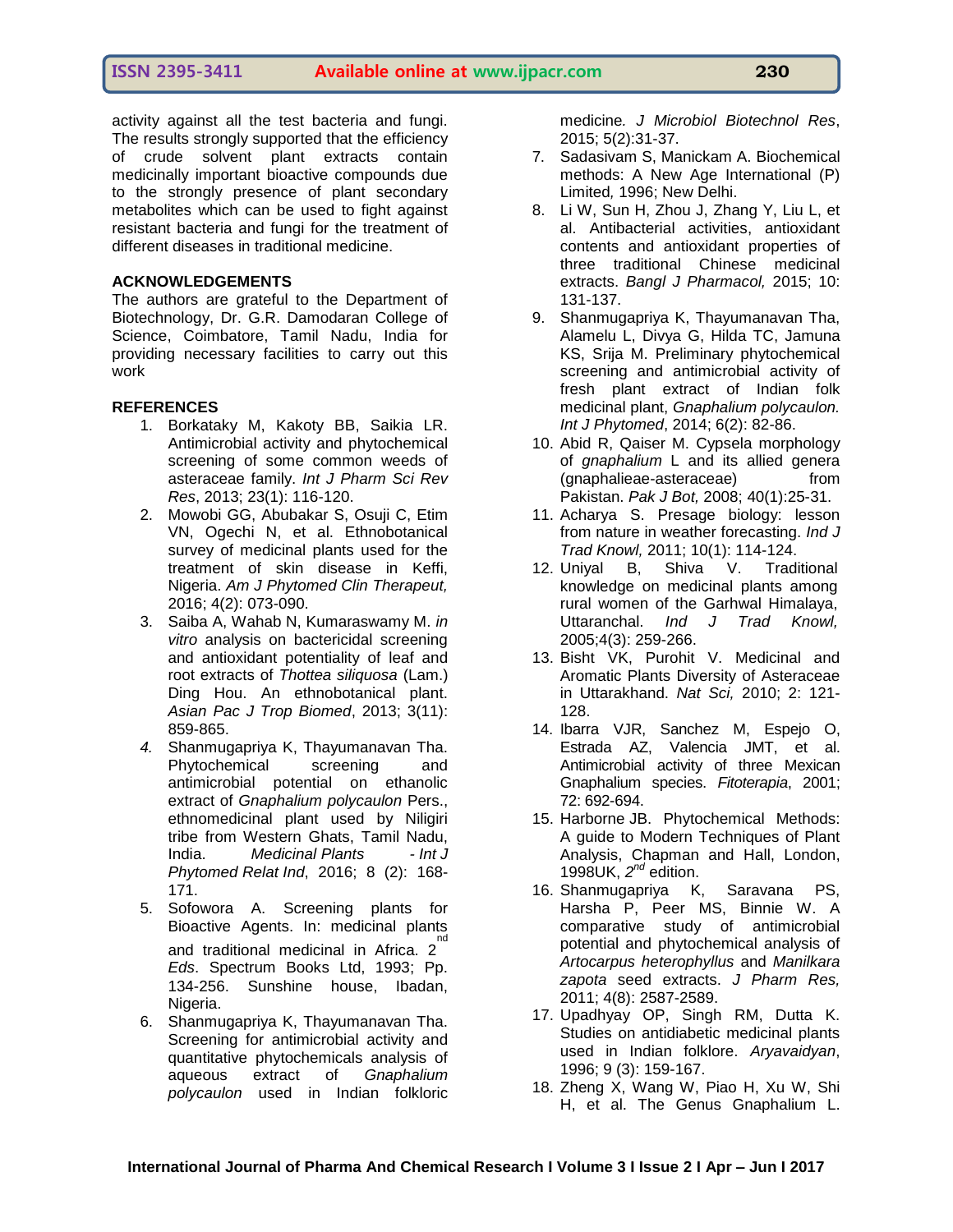**ISSN 2395-3411 Available online at www.ijpacr.com 230**

activity against all the test bacteria and fungi. The results strongly supported that the efficiency of crude solvent plant extracts contain medicinally important bioactive compounds due to the strongly presence of plant secondary metabolites which can be used to fight against resistant bacteria and fungi for the treatment of different diseases in traditional medicine.

### **ACKNOWLEDGEMENTS**

The authors are grateful to the Department of Biotechnology, Dr. G.R. Damodaran College of Science, Coimbatore, Tamil Nadu, India for providing necessary facilities to carry out this work

#### **REFERENCES**

- 1. Borkataky M, Kakoty BB, Saikia LR. Antimicrobial activity and phytochemical screening of some common weeds of asteraceae family. *Int J Pharm Sci Rev Res*, 2013; 23(1): 116-120.
- 2. Mowobi GG, Abubakar S, Osuji C, Etim VN, Ogechi N, et al. Ethnobotanical survey of medicinal plants used for the treatment of skin disease in Keffi, Nigeria. *Am J Phytomed Clin Therapeut,* 2016; 4(2): 073-090.
- 3. Saiba A, Wahab N, Kumaraswamy M. *in vitro* analysis on bactericidal screening and antioxidant potentiality of leaf and root extracts of *Thottea siliquosa* (Lam.) Ding Hou. An ethnobotanical plant. *Asian Pac J Trop Biomed*, 2013; 3(11): 859-865.
- *4.* Shanmugapriya K, Thayumanavan Tha. Phytochemical screening and antimicrobial potential on ethanolic extract of *Gnaphalium polycaulon* Pers., ethnomedicinal plant used by Niligiri tribe from Western Ghats, Tamil Nadu, India. *Medicinal Plants - Int J Phytomed Relat Ind*, 2016; 8 (2): 168- 171.
- 5. Sofowora A. Screening plants for Bioactive Agents. In: medicinal plants and traditional medicinal in Africa. 2<sup>nd</sup> *Eds*. Spectrum Books Ltd, 1993; Pp. 134-256. Sunshine house, Ibadan, Nigeria.
- 6. Shanmugapriya K, Thayumanavan Tha. Screening for antimicrobial activity and quantitative phytochemicals analysis of aqueous extract of *Gnaphalium polycaulon* used in Indian folkloric

medicine*. J Microbiol Biotechnol Res*, 2015; 5(2):31-37.

- 7. Sadasivam S, Manickam A. Biochemical methods: A New Age International (P) Limited*,* 1996; New Delhi.
- 8. Li W, Sun H, Zhou J, Zhang Y, Liu L, et al. Antibacterial activities, antioxidant contents and antioxidant properties of three traditional Chinese medicinal extracts. *Bangl J Pharmacol,* 2015; 10: 131-137.
- 9. Shanmugapriya K, Thayumanavan Tha, Alamelu L, Divya G, Hilda TC, Jamuna KS, Srija M. Preliminary phytochemical screening and antimicrobial activity of fresh plant extract of Indian folk medicinal plant, *Gnaphalium polycaulon. Int J Phytomed*, 2014; 6(2): 82-86.
- 10. Abid R, Qaiser M. Cypsela morphology of *gnaphalium* L and its allied genera (gnaphalieae-asteraceae) from Pakistan. *Pak J Bot,* 2008; 40(1):25-31.
- 11. Acharya S. Presage biology: lesson from nature in weather forecasting. *Ind J*
- *Trad Knowl,* 2011; 10(1): 114-124. 12. Uniyal B, Shiva V. Traditional knowledge on medicinal plants among rural women of the Garhwal Himalaya, Uttaranchal. *Ind J Trad Knowl,* 2005;4(3): 259-266.
- 13. Bisht VK, Purohit V. Medicinal and Aromatic Plants Diversity of Asteraceae in Uttarakhand. *Nat Sci,* 2010; 2: 121- 128.
- 14. Ibarra VJR, Sanchez M, Espejo O, Estrada AZ, Valencia JMT, et al. Antimicrobial activity of three Mexican Gnaphalium species. *Fitoterapia*, 2001; 72: 692-694.
- 15. Harborne JB. Phytochemical Methods: A guide to Modern Techniques of Plant Analysis, Chapman and Hall, London, 1998UK, *2 nd* edition.
- 16. Shanmugapriya K, Saravana PS, Harsha P, Peer MS, Binnie W. A comparative study of antimicrobial potential and phytochemical analysis of *Artocarpus heterophyllus* and *Manilkara zapota* seed extracts. *J Pharm Res,* 2011; 4(8): 2587-2589.
- 17. Upadhyay OP, Singh RM, Dutta K. Studies on antidiabetic medicinal plants used in Indian folklore. *Aryavaidyan*, 1996; 9 (3): 159-167.
- 18. Zheng X, Wang W, Piao H, Xu W, Shi H, et al. The Genus Gnaphalium L.